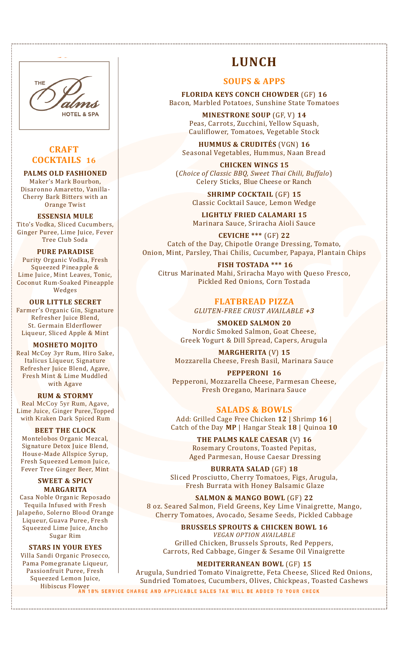

# **CRAFT COCKTAILS 16**

### **PALMS OLD FASHIONED**

Maker's Mark Bourbon, Disaronno Amaretto, Vanilla-Cherry Bark Bitters with an Orange Twist

**ESSENSIA MULE** Tito's Vodka, Sliced Cucumbers, Ginger Puree, Lime Juice, Fever Tree Club Soda

#### **PURE PARADISE**

Purity Organic Vodka, Fresh Squeezed Pineapple & Lime Juice, Mint Leaves, Tonic, Coconut Rum-Soaked Pineapple Wedges

**OUR LITTLE SECRET** Farmer's Organic Gin, Signature Refresher Juice Blend, St. Germain Elderflower Liqueur, Sliced Apple & Mint

**MOSHETO MOJITO** Real McCoy 3yr Rum, Hiro Sake, Italicus Liqueur, Signature Refresher Juice Blend, Agave, Fresh Mint & Lime Muddled with Agave

### **RUM & STORMY**

Real McCoy 5yr Rum, Agave, Lime Juice, Ginger Puree,Topped with Kraken Dark Spiced Rum

**BEET THE CLOCK** Montelobos Organic Mezcal, Signature Detox Juice Blend, House-Made Allspice Syrup, Fresh Squeezed Lemon Juice, Fever Tree Ginger Beer, Mint

### **SWEET & SPICY MARGARITA**

Casa Noble Organic Reposado Tequila Infused with Fresh Jalapeño, Solerno Blood Orange Liqueur, Guava Puree, Fresh Squeezed Lime Juice, Ancho Sugar Rim

### **STARS IN YOUR EYES**

Villa Sandi Organic Prosecco, Pama Pomegranate Liqueur, Passionfruit Puree, Fresh Squeezed Lemon Juice,

# **LUNCH**

## **SOUPS & APPS**

**FLORIDA KEYS CONCH CHOWDER** (GF) **16** Bacon, Marbled Potatoes, Sunshine State Tomatoes

> **MINESTRONE SOUP** (GF, V) **14**  Peas, Carrots, Zucchini, Yellow Squash, Cauliflower, Tomatoes, Vegetable Stock

**HUMMUS & CRUDITÉS** (VGN) **16** Seasonal Vegetables, Hummus, Naan Bread

**CHICKEN WINGS 15** (*Choice of Classic BBQ, Sweet Thai Chili, Buffalo*) Celery Sticks, Blue Cheese or Ranch

> **SHRIMP COCKTAIL** (GF) **15** Classic Cocktail Sauce, Lemon Wedge

> **LIGHTLY FRIED CALAMARI 15** Marinara Sauce, Sriracha Aioli Sauce

**CEVICHE \*\*\*** (GF) **22** Catch of the Day, Chipotle Orange Dressing, Tomato, Onion, Mint, Parsley, Thai Chilis, Cucumber, Papaya, Plantain Chips

**FISH TOSTADA \*\*\* 16** Citrus Marinated Mahi, Sriracha Mayo with Queso Fresco, Pickled Red Onions, Corn Tostada

> **FLATBREAD PIZZA** *GLUTEN-FREE CRUST AVAILABLE +3*

**SMOKED SALMON 20** Nordic Smoked Salmon, Goat Cheese, Greek Yogurt & Dill Spread, Capers, Arugula

**MARGHERITA** (V) **15** Mozzarella Cheese, Fresh Basil, Marinara Sauce

**PEPPERONI 16** Pepperoni, Mozzarella Cheese, Parmesan Cheese, Fresh Oregano, Marinara Sauce

## **SALADS & BOWLS**

Add: Grilled Cage Free Chicken **12** | Shrimp **16** | Catch of the Day **MP** | Hangar Steak **18** | Quinoa **10**

> **THE PALMS KALE CAESAR** (V) **16** Rosemary Croutons, Toasted Pepitas, Aged Parmesan, House Caesar Dressing

**BURRATA SALAD** (GF) **18** Sliced Prosciutto, Cherry Tomatoes, Figs, Arugula, Fresh Burrata with Honey Balsamic Glaze

**SALMON & MANGO BOWL** (GF) **22** 8 oz. Seared Salmon, Field Greens, Key Lime Vinaigrette, Mango, Cherry Tomatoes, Avocado, Sesame Seeds, Pickled Cabbage

**BRUSSELS SPROUTS & CHICKEN BOWL 16** *VEGAN OPTION AVAILABLE* Grilled Chicken, Brussels Sprouts, Red Peppers, Carrots, Red Cabbage, Ginger & Sesame Oil Vinaigrette

**MEDITERRANEAN BOWL** (GF) **15** Arugula, Sundried Tomato Vinaigrette, Feta Cheese, Sliced Red Onions, Sundried Tomatoes, Cucumbers, Olives, Chickpeas, Toasted Cashews Hibiscus Flower<br>AN 18% SERVICE CHARGE AND APPLICABLE SALES TAX WILL BE ADDED TO YOUR CHECK